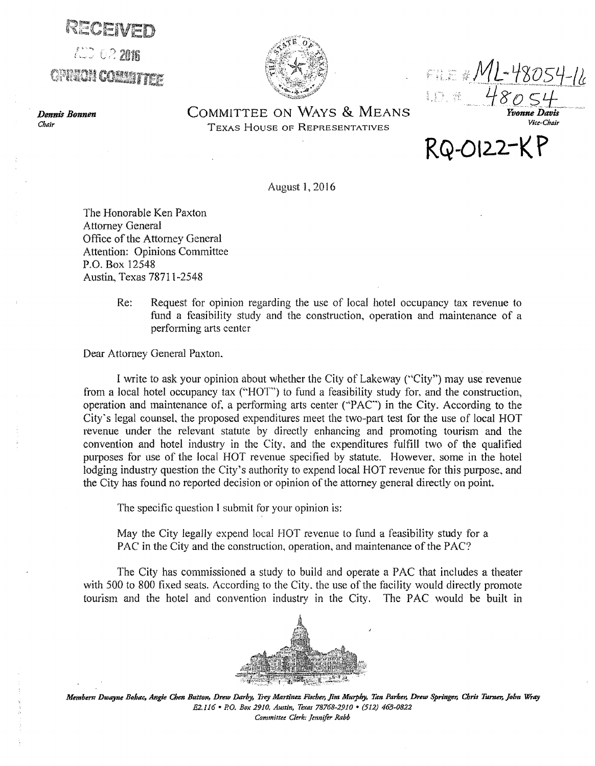r~=· l: 2m6  $\mathbb{Z}$  if  $\mathbb{Z}$ 

*Dennis Bonnen* 

*Chair* 



FILE #JVIL-780S4-16  $480.54$ <br>Yvonne Davis

*Vice-Chair* 

COMMITTEE ON WAYS & MEANS TEXAS HOUSE OF REPRESENTATIVES

**RQ-012.2-K P** 

August 1, 2016

The Honorable Ken Paxton Attorney General Office of the Attorney General Attention: Opinions Committee P.O. Box 12548 Austin, Texas 78711-2548

> Re: Request for opinion regarding the use of local hotel occupancy tax revenue to fund a feasibility study and the construction, operation and maintenance of a performing arts center

Dear Attorney General Paxton.

I write to ask your opinion about whether the City of Lakeway ("City") may use revenue from a local hotel occupancy tax (''HOT") to fund a feasibility study for, and the construction, operation and maintenance of, a performing arts center ( $PAC$ ) in the City. According to the City's legal counsel. the proposed expenditures meet the two-part test for the use of local HOT revenue under the relevant statute by directly enhancing and promoting tourism and the convention and hotel industry in the City, and the expenditures fulfill two of the qualified purposes for use of the local HOT revenue specified by statute. However. some in the hotel lodging industry question the City's authority to expend local HOT revenue for this purpose, and the City has found no reported decision or opinion of the attorney general directly on point.

The specific question I submit for your opinion is:

May the City legally expend local HOT revenue to fund a feasibility study for a PAC in the City and the construction, operation, and maintenance of the PAC'?

The City has commissioned a study to build and operate a PAC that includes a theater with 500 to 800 fixed seats. According to the City, the use of the facility would directly promote tourism and the hotel and convention industry in the City. The PAC would be built in



Members: Dwayne Bohac, Angie Chen Button, Drew Darby, Trey Martinez Fischer, Jim Murphy, Tan Parker, Drew Springer, Chris Turner, John Wray *E2.J16 •P.O. Box 2910, Austin, Texas 78768-2910* • *(512) 463-0822 Committee Clerk: Jennifer Rabb*